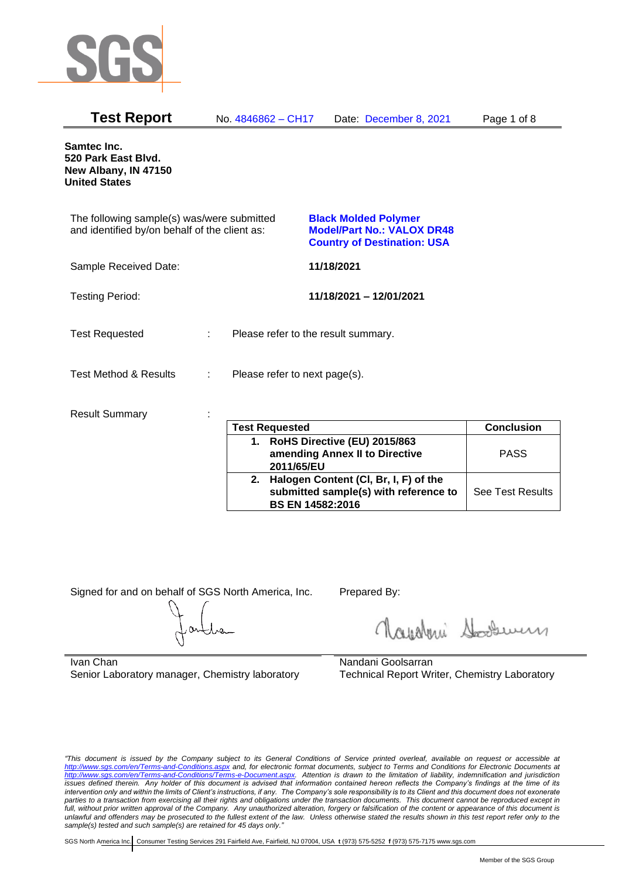

| <b>Test Report</b>                                                                          |   | No. 4846862 - CH17            | Date: December 8, 2021                                                                                 | Page 1 of 8 |
|---------------------------------------------------------------------------------------------|---|-------------------------------|--------------------------------------------------------------------------------------------------------|-------------|
| Samtec Inc.<br>520 Park East Blvd.<br>New Albany, IN 47150<br><b>United States</b>          |   |                               |                                                                                                        |             |
| The following sample(s) was/were submitted<br>and identified by/on behalf of the client as: |   |                               | <b>Black Molded Polymer</b><br><b>Model/Part No.: VALOX DR48</b><br><b>Country of Destination: USA</b> |             |
| Sample Received Date:                                                                       |   |                               | 11/18/2021                                                                                             |             |
| <b>Testing Period:</b>                                                                      |   |                               | 11/18/2021 - 12/01/2021                                                                                |             |
| <b>Test Requested</b>                                                                       | ÷ |                               | Please refer to the result summary.                                                                    |             |
| <b>Test Method &amp; Results</b>                                                            | ÷ | Please refer to next page(s). |                                                                                                        |             |
| <b>Result Summary</b>                                                                       |   | Test Requested                |                                                                                                        | Conclusion  |

|    | <b>Test Requested</b>                                                                                     | <b>Conclusion</b>       |
|----|-----------------------------------------------------------------------------------------------------------|-------------------------|
|    | 1. RoHS Directive (EU) 2015/863<br>amending Annex II to Directive<br>2011/65/EU                           | <b>PASS</b>             |
| 2. | Halogen Content (CI, Br, I, F) of the<br>submitted sample(s) with reference to<br><b>BS EN 14582:2016</b> | <b>See Test Results</b> |

Signed for and on behalf of SGS North America, Inc. Prepared By:

Royalmi Souri

Ivan Chan Senior Laboratory manager, Chemistry laboratory

Nandani Goolsarran Technical Report Writer, Chemistry Laboratory

*"This document is issued by the Company subject to its General Conditions of Service printed overleaf, available on request or accessible at <http://www.sgs.com/en/Terms-and-Conditions.aspx> and, for electronic format documents, subject to Terms and Conditions for Electronic Documents at [http://www.sgs.com/en/Terms-and-Conditions/Terms-e-Document.aspx.](http://www.sgs.com/en/Terms-and-Conditions/Terms-e-Document.aspx) Attention is drawn to the limitation of liability, indemnification and jurisdiction issues defined therein. Any holder of this document is advised that information contained hereon reflects the Company's findings at the time of its intervention only and within the limits of Client's instructions, if any. The Company's sole responsibility is to its Client and this document does not exonerate parties to a transaction from exercising all their rights and obligations under the transaction documents. This document cannot be reproduced except in full, without prior written approval of the Company. Any unauthorized alteration, forgery or falsification of the content or appearance of this document is unlawful and offenders may be prosecuted to the fullest extent of the law. Unless otherwise stated the results shown in this test report refer only to the sample(s) tested and such sample(s) are retained for 45 days only."*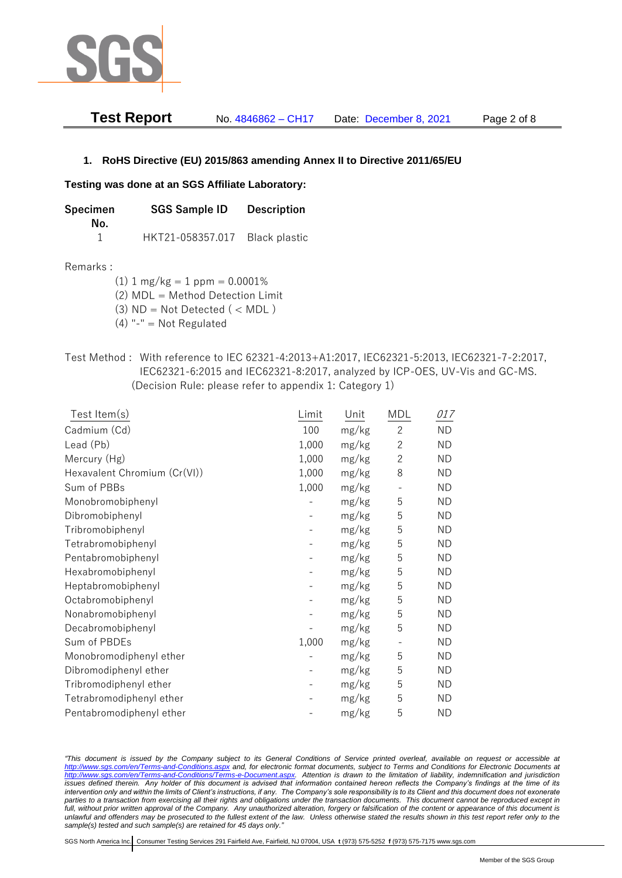

| <b>Test Report</b> | No. 4846862 - CH17 | Date: December 8, 2021 | Page 2 of 8 |
|--------------------|--------------------|------------------------|-------------|
|--------------------|--------------------|------------------------|-------------|

### **1. RoHS Directive (EU) 2015/863 amending Annex II to Directive 2011/65/EU**

#### **Testing was done at an SGS Affiliate Laboratory:**

| Specimen | <b>SGS Sample ID</b> | <b>Description</b> |  |
|----------|----------------------|--------------------|--|
| No.      |                      |                    |  |
|          | HKT21-058357.017     | Black plastic      |  |

#### Remarks :

(1)  $1 \text{ mg/kg} = 1 \text{ ppm} = 0.0001\%$ 

(2) MDL = Method Detection Limit

(3)  $ND = Not detected$  ( < MDL)

- (4) "-" = Not Regulated
- Test Method : With reference to IEC 62321-4:2013+A1:2017, IEC62321-5:2013, IEC62321-7-2:2017, IEC62321-6:2015 and IEC62321-8:2017, analyzed by ICP-OES, UV-Vis and GC-MS. (Decision Rule: please refer to appendix 1: Category 1)

| Test Item(s)                 | Limit | Unit  | MDL            | 017       |
|------------------------------|-------|-------|----------------|-----------|
| Cadmium (Cd)                 | 100   | mg/kg | $\overline{c}$ | <b>ND</b> |
| Lead (Pb)                    | 1,000 | mg/kg | $\mathbf{2}$   | <b>ND</b> |
| Mercury (Hg)                 | 1,000 | mg/kg | $\overline{c}$ | <b>ND</b> |
| Hexavalent Chromium (Cr(VI)) | 1,000 | mg/kg | 8              | <b>ND</b> |
| Sum of PBBs                  | 1,000 | mg/kg |                | <b>ND</b> |
| Monobromobiphenyl            |       | mg/kg | 5              | <b>ND</b> |
| Dibromobiphenyl              |       | mg/kg | 5              | <b>ND</b> |
| Tribromobiphenyl             |       | mg/kg | 5              | <b>ND</b> |
| Tetrabromobiphenyl           |       | mg/kg | 5              | <b>ND</b> |
| Pentabromobiphenyl           |       | mg/kg | 5              | <b>ND</b> |
| Hexabromobiphenyl            |       | mg/kg | 5              | <b>ND</b> |
| Heptabromobiphenyl           |       | mg/kg | 5              | <b>ND</b> |
| Octabromobiphenyl            |       | mg/kg | 5              | <b>ND</b> |
| Nonabromobiphenyl            |       | mg/kg | 5              | <b>ND</b> |
| Decabromobiphenyl            |       | mg/kg | 5              | <b>ND</b> |
| Sum of PBDEs                 | 1,000 | mg/kg |                | <b>ND</b> |
| Monobromodiphenyl ether      |       | mg/kg | 5              | <b>ND</b> |
| Dibromodiphenyl ether        |       | mg/kg | 5              | <b>ND</b> |
| Tribromodiphenyl ether       |       | mg/kg | 5              | <b>ND</b> |
| Tetrabromodiphenyl ether     |       | mg/kg | 5              | <b>ND</b> |
| Pentabromodiphenyl ether     |       | mg/kg | 5              | <b>ND</b> |

*"This document is issued by the Company subject to its General Conditions of Service printed overleaf, available on request or accessible at <http://www.sgs.com/en/Terms-and-Conditions.aspx> and, for electronic format documents, subject to Terms and Conditions for Electronic Documents at [http://www.sgs.com/en/Terms-and-Conditions/Terms-e-Document.aspx.](http://www.sgs.com/en/Terms-and-Conditions/Terms-e-Document.aspx) Attention is drawn to the limitation of liability, indemnification and jurisdiction issues defined therein. Any holder of this document is advised that information contained hereon reflects the Company's findings at the time of its intervention only and within the limits of Client's instructions, if any. The Company's sole responsibility is to its Client and this document does not exonerate*  parties to a transaction from exercising all their rights and obligations under the transaction documents. This document cannot be reproduced except in *full, without prior written approval of the Company. Any unauthorized alteration, forgery or falsification of the content or appearance of this document is unlawful and offenders may be prosecuted to the fullest extent of the law. Unless otherwise stated the results shown in this test report refer only to the sample(s) tested and such sample(s) are retained for 45 days only."*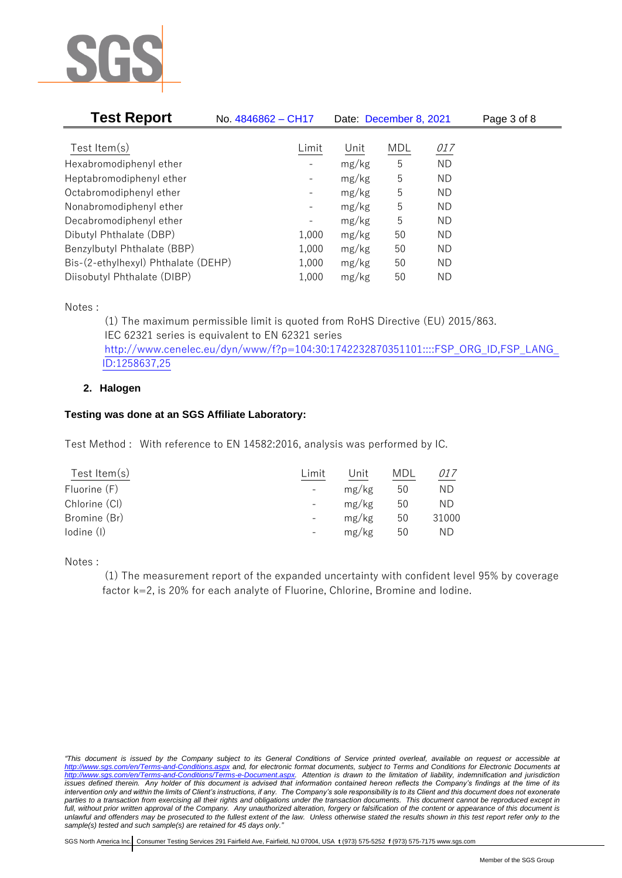

| <b>Test Report</b>                  | No. 4846862 - CH17           | Date: December 8, 2021 |            |           | Page 3 of 8 |
|-------------------------------------|------------------------------|------------------------|------------|-----------|-------------|
|                                     |                              |                        |            |           |             |
| Test Item $(s)$                     | Limit                        | Unit                   | <b>MDL</b> | 017       |             |
| Hexabromodiphenyl ether             |                              | mg/kg                  | 5          | <b>ND</b> |             |
| Heptabromodiphenyl ether            |                              | mg/kg                  | 5          | ND        |             |
| Octabromodiphenyl ether             | -                            | mg/kg                  | 5          | ΝD        |             |
| Nonabromodiphenyl ether             | -                            | mg/kg                  | 5          | ΝD        |             |
| Decabromodiphenyl ether             | $\qquad \qquad \blacksquare$ | mg/kg                  | 5          | ΝD        |             |
| Dibutyl Phthalate (DBP)             | 1,000                        | mg/kg                  | 50         | ΝD        |             |
| Benzylbutyl Phthalate (BBP)         | 1,000                        | mg/kg                  | 50         | ΝD        |             |
| Bis-(2-ethylhexyl) Phthalate (DEHP) | 1,000                        | mg/kg                  | 50         | ΝD        |             |
| Diisobutyl Phthalate (DIBP)         | 1,000                        | mg/kg                  | 50         | ND        |             |

Notes :

(1) The maximum permissible limit is quoted from RoHS Directive (EU) 2015/863. IEC 62321 series is equivalent to EN 62321 series [http://www.cenelec.eu/dyn/www/f?p=104:30:1742232870351101::::FSP\\_ORG\\_ID,FSP\\_LANG\\_](http://www.cenelec.eu/dyn/www/f?p=104:30:1742232870351101::::FSP_ORG_ID,FSP_LANG_ID:1258637,25) [ID:1258637,25](http://www.cenelec.eu/dyn/www/f?p=104:30:1742232870351101::::FSP_ORG_ID,FSP_LANG_ID:1258637,25)

### **2. Halogen**

## **Testing was done at an SGS Affiliate Laboratory:**

Test Method : With reference to EN 14582:2016, analysis was performed by IC.

| Test Item(s)  | Limit                    | Unit  | MDL | <i>017</i> |
|---------------|--------------------------|-------|-----|------------|
| Fluorine (F)  |                          | mg/kg | 50  | ΝD         |
| Chlorine (CI) | $\overline{\phantom{a}}$ | mg/kg | 50  | ND         |
| Bromine (Br)  | $\overline{\phantom{a}}$ | mg/kg | 50  | 31000      |
| lodine (I)    |                          | mg/kg | 50  | ND         |
|               |                          |       |     |            |

Notes :

(1) The measurement report of the expanded uncertainty with confident level 95% by coverage factor k=2, is 20% for each analyte of Fluorine, Chlorine, Bromine and Iodine.

*"This document is issued by the Company subject to its General Conditions of Service printed overleaf, available on request or accessible at <http://www.sgs.com/en/Terms-and-Conditions.aspx> and, for electronic format documents, subject to Terms and Conditions for Electronic Documents at [http://www.sgs.com/en/Terms-and-Conditions/Terms-e-Document.aspx.](http://www.sgs.com/en/Terms-and-Conditions/Terms-e-Document.aspx) Attention is drawn to the limitation of liability, indemnification and jurisdiction issues defined therein. Any holder of this document is advised that information contained hereon reflects the Company's findings at the time of its intervention only and within the limits of Client's instructions, if any. The Company's sole responsibility is to its Client and this document does not exonerate*  parties to a transaction from exercising all their rights and obligations under the transaction documents. This document cannot be reproduced except in *full, without prior written approval of the Company. Any unauthorized alteration, forgery or falsification of the content or appearance of this document is unlawful and offenders may be prosecuted to the fullest extent of the law. Unless otherwise stated the results shown in this test report refer only to the sample(s) tested and such sample(s) are retained for 45 days only."*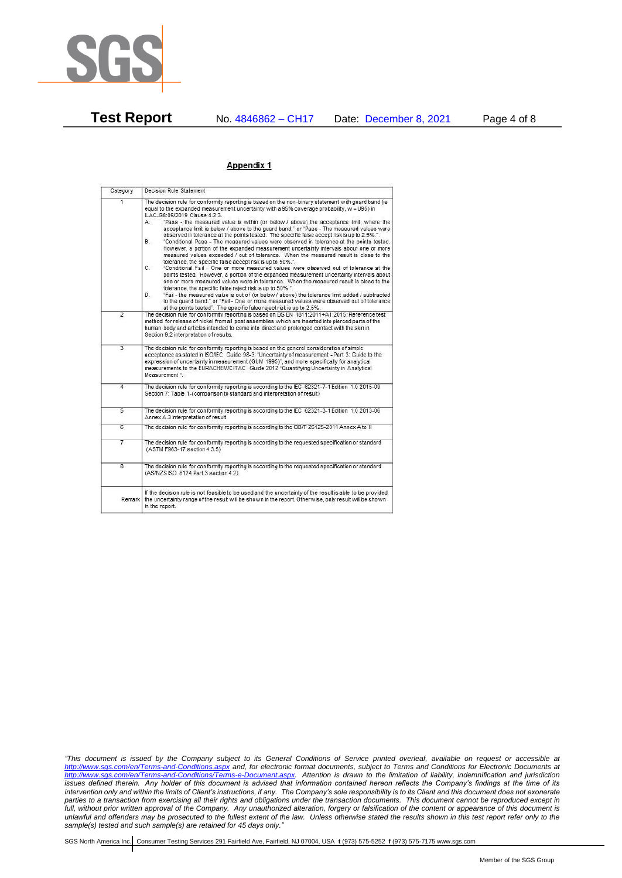

**Test Report** No. 4846862 – CH17 Date: December 8, 2021 Page 4 of 8

#### Appendix 1

| Category       | Decision Rule Statement                                                                                                                                                                                                                                                                                                                                                                                                                                                                                                                                                                                                                                                                                                                                                                                                                                                                                                                                                                                                                                                                                                                                                                                                                                                                                                                                                                                                                                                                                                    |
|----------------|----------------------------------------------------------------------------------------------------------------------------------------------------------------------------------------------------------------------------------------------------------------------------------------------------------------------------------------------------------------------------------------------------------------------------------------------------------------------------------------------------------------------------------------------------------------------------------------------------------------------------------------------------------------------------------------------------------------------------------------------------------------------------------------------------------------------------------------------------------------------------------------------------------------------------------------------------------------------------------------------------------------------------------------------------------------------------------------------------------------------------------------------------------------------------------------------------------------------------------------------------------------------------------------------------------------------------------------------------------------------------------------------------------------------------------------------------------------------------------------------------------------------------|
| $\overline{1}$ | The decision rule for conformity reporting is based on the non-binary statement with quard band (is<br>equal to the expanded measurement uncertainty with a 95% coverage probability, w = U95) in<br>ILAC-G8:09/2019 Clause 4.2.3.<br>"Pass - the measured value is within (or below / above) the acceptance limit, where the<br>А.<br>acceptance limit is below / above to the quard band." or "Pass - The measured values were<br>observed in tolerance at the points tested. The specific false accept risk is up to 2.5%.".<br><b>B</b> .<br>"Conditional Pass - The measured values were observed in tolerance at the points tested.<br>However, a portion of the expanded measurement uncertainty intervals about one or more<br>measured values exceeded / out of tolerance. When the measured result is close to the<br>tolerance, the specific false accept risk is up to 50%.".<br>C.<br>"Conditional Fail - One or more measured values were observed out of tolerance at the<br>points tested. However, a portion of the expanded measurement uncertainty intervals about<br>one or more measured values were in tolerance. When the measured result is close to the<br>tolerance, the specific false reject risk is up to 50%.".<br>"Fail - the measured value is out of (or below / above) the tolerance limit added / subtracted<br>D.<br>to the quard band." or "Fail - One or more measured values were observed out of tolerance<br>at the points tested". The specific false reject risk is up to 2.5%. |
| $\overline{2}$ | The decision rule for conformity reporting is based on BS EN 1811:2011+A1:2015: Reference test<br>method for release of nickel from all post assemblies which are inserted into pierced parts of the<br>human body and articles intended to come into direct and prolonged contact with the skin in<br>Section 9.2 interpretation of results.                                                                                                                                                                                                                                                                                                                                                                                                                                                                                                                                                                                                                                                                                                                                                                                                                                                                                                                                                                                                                                                                                                                                                                              |
| $\overline{3}$ | The decision rule for conformity reporting is based on the general consideration of simple<br>acceptance as stated in ISO/IEC Guide 98-3: "Uncertainty of measurement - Part 3: Guide to the<br>expression of uncertainty in measurement (GUM 1995)", and more specifically for analytical<br>measurements to the EURACHEM/CITAC Guide 2012 "Quantifying Uncertainty in Analytical<br>Measurement <sup>*</sup>                                                                                                                                                                                                                                                                                                                                                                                                                                                                                                                                                                                                                                                                                                                                                                                                                                                                                                                                                                                                                                                                                                             |
| 4              | The decision rule for conformity reporting is according to the IEC 62321-7-1 Edition 1.0 2015-09<br>Section 7: Table 1-(comparison to standard and interpretation of result)                                                                                                                                                                                                                                                                                                                                                                                                                                                                                                                                                                                                                                                                                                                                                                                                                                                                                                                                                                                                                                                                                                                                                                                                                                                                                                                                               |
| $\overline{5}$ | The decision rule for conformity reporting is according to the IEC 62321-3-1 Edition 1.0 2013-06<br>Annex A.3 interpretation of result.                                                                                                                                                                                                                                                                                                                                                                                                                                                                                                                                                                                                                                                                                                                                                                                                                                                                                                                                                                                                                                                                                                                                                                                                                                                                                                                                                                                    |
| 6              | The decision rule for conformity reporting is according to the GB/T 26125-2011 Annex A to H                                                                                                                                                                                                                                                                                                                                                                                                                                                                                                                                                                                                                                                                                                                                                                                                                                                                                                                                                                                                                                                                                                                                                                                                                                                                                                                                                                                                                                |
| 7              | The decision rule for conformity reporting is according to the requested specification or standard<br>(ASTM F963-17 section 4.3.5)                                                                                                                                                                                                                                                                                                                                                                                                                                                                                                                                                                                                                                                                                                                                                                                                                                                                                                                                                                                                                                                                                                                                                                                                                                                                                                                                                                                         |
| $\overline{8}$ | The decision rule for conformity reporting is according to the requested specification or standard<br>(AS/NZS ISO 8124 Part 3 section 4.2)                                                                                                                                                                                                                                                                                                                                                                                                                                                                                                                                                                                                                                                                                                                                                                                                                                                                                                                                                                                                                                                                                                                                                                                                                                                                                                                                                                                 |
| Remark I       | If the decision rule is not feasible to be used and the uncertainty of the result is able to be provided.<br>the uncertainty range of the result will be shown in the report. Otherwise, only result will be shown<br>in the report.                                                                                                                                                                                                                                                                                                                                                                                                                                                                                                                                                                                                                                                                                                                                                                                                                                                                                                                                                                                                                                                                                                                                                                                                                                                                                       |

*"This document is issued by the Company subject to its General Conditions of Service printed overleaf, available on request or accessible at <http://www.sgs.com/en/Terms-and-Conditions.aspx> and, for electronic format documents, subject to Terms and Conditions for Electronic Documents at [http://www.sgs.com/en/Terms-and-Conditions/Terms-e-Document.aspx.](http://www.sgs.com/en/Terms-and-Conditions/Terms-e-Document.aspx) Attention is drawn to the limitation of liability, indemnification and jurisdiction issues defined therein. Any holder of this document is advised that information contained hereon reflects the Company's findings at the time of its intervention only and within the limits of Client's instructions, if any. The Company's sole responsibility is to its Client and this document does not exonerate parties to a transaction from exercising all their rights and obligations under the transaction documents. This document cannot be reproduced except in full, without prior written approval of the Company. Any unauthorized alteration, forgery or falsification of the content or appearance of this document is unlawful and offenders may be prosecuted to the fullest extent of the law. Unless otherwise stated the results shown in this test report refer only to the sample(s) tested and such sample(s) are retained for 45 days only."*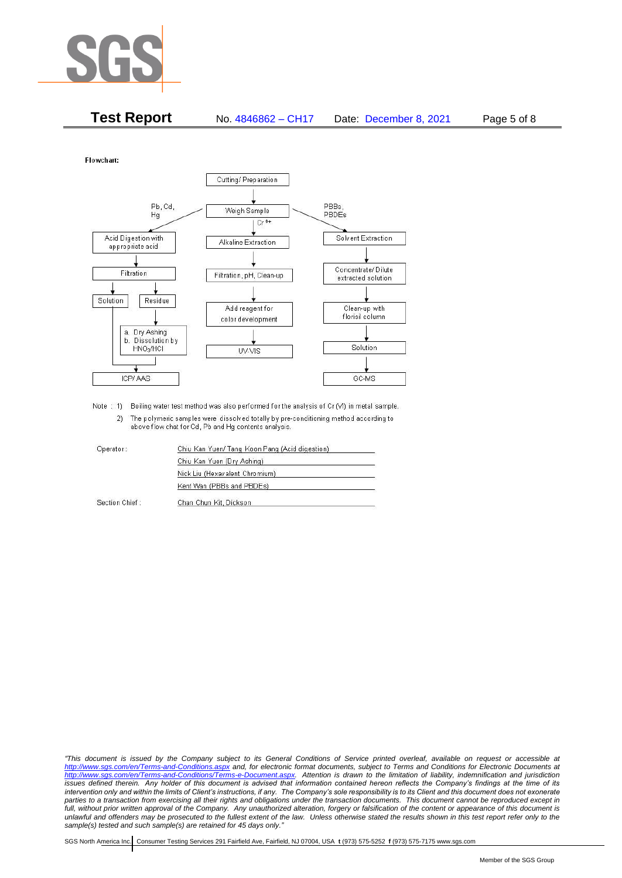

| <b>Test Report</b> | No. 4846862 - CH17 | Date: December 8, 2021 | Page 5 of 8 |
|--------------------|--------------------|------------------------|-------------|
|--------------------|--------------------|------------------------|-------------|

Flowchart:



Note : 1) Boiling water test method was also performed for the analysis of Cr (VI) in metal sample. 2) The polymeric samples were dissolved totally by pre-conditioning method according to above flow chat for Cd, Pb and Hg contents analysis

| Operator:      | Chiu Kan Yuen/ Tang Koon Pang (Acid digestion) |  |
|----------------|------------------------------------------------|--|
|                | Chiu Kan Yuen (Dry Ashing)                     |  |
|                | Nick Liu (Hexavalent Chromium)                 |  |
|                | Kent Wan (PBBs and PBDEs)                      |  |
| Section Chief: | Chan Chun Kit, Dickson                         |  |

*"This document is issued by the Company subject to its General Conditions of Service printed overleaf, available on request or accessible at <http://www.sgs.com/en/Terms-and-Conditions.aspx> and, for electronic format documents, subject to Terms and Conditions for Electronic Documents at [http://www.sgs.com/en/Terms-and-Conditions/Terms-e-Document.aspx.](http://www.sgs.com/en/Terms-and-Conditions/Terms-e-Document.aspx) Attention is drawn to the limitation of liability, indemnification and jurisdiction issues defined therein. Any holder of this document is advised that information contained hereon reflects the Company's findings at the time of its intervention only and within the limits of Client's instructions, if any. The Company's sole responsibility is to its Client and this document does not exonerate*  parties to a transaction from exercising all their rights and obligations under the transaction documents. This document cannot be reproduced except in *full, without prior written approval of the Company. Any unauthorized alteration, forgery or falsification of the content or appearance of this document is unlawful and offenders may be prosecuted to the fullest extent of the law. Unless otherwise stated the results shown in this test report refer only to the sample(s) tested and such sample(s) are retained for 45 days only."*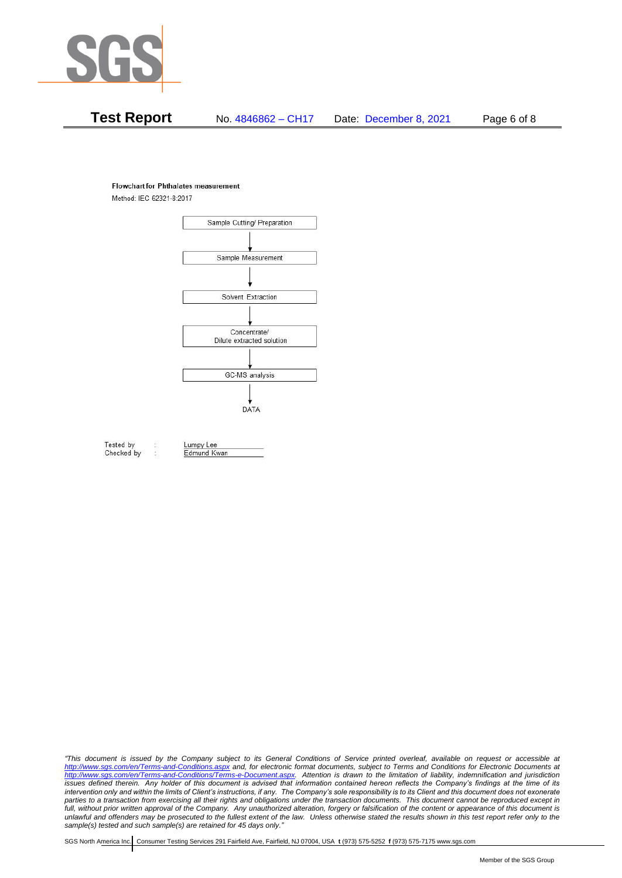

# **Test Report** No. 4846862 – CH17 Date: December 8, 2021 Page 6 of 8

#### **Flowchart for Phthalates measurement**

Method: IEC 62321-8:2017



Tested by Checked by Lumpy Lee

Edmund Kwan

*"This document is issued by the Company subject to its General Conditions of Service printed overleaf, available on request or accessible at <http://www.sgs.com/en/Terms-and-Conditions.aspx> and, for electronic format documents, subject to Terms and Conditions for Electronic Documents at [http://www.sgs.com/en/Terms-and-Conditions/Terms-e-Document.aspx.](http://www.sgs.com/en/Terms-and-Conditions/Terms-e-Document.aspx) Attention is drawn to the limitation of liability, indemnification and jurisdiction issues defined therein. Any holder of this document is advised that information contained hereon reflects the Company's findings at the time of its intervention only and within the limits of Client's instructions, if any. The Company's sole responsibility is to its Client and this document does not exonerate*  parties to a transaction from exercising all their rights and obligations under the transaction documents. This document cannot be reproduced except in *full, without prior written approval of the Company. Any unauthorized alteration, forgery or falsification of the content or appearance of this document is unlawful and offenders may be prosecuted to the fullest extent of the law. Unless otherwise stated the results shown in this test report refer only to the sample(s) tested and such sample(s) are retained for 45 days only."*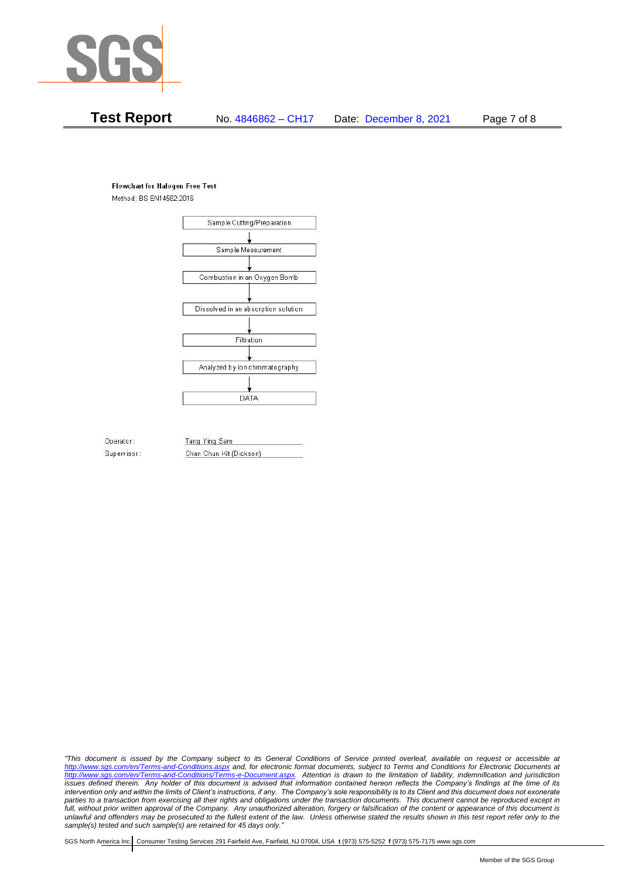

# **Test Report** No. 4846862 – CH17 Date: December 8, 2021 Page 7 of 8

#### **Flowchart for Halogen Free Test**

Method: BS EN14582:2016



Operator: Supervisor: Tang Ying Sam Chan Chun Kit (Dickson)

*"This document is issued by the Company subject to its General Conditions of Service printed overleaf, available on request or accessible at <http://www.sgs.com/en/Terms-and-Conditions.aspx> and, for electronic format documents, subject to Terms and Conditions for Electronic Documents at [http://www.sgs.com/en/Terms-and-Conditions/Terms-e-Document.aspx.](http://www.sgs.com/en/Terms-and-Conditions/Terms-e-Document.aspx) Attention is drawn to the limitation of liability, indemnification and jurisdiction issues defined therein. Any holder of this document is advised that information contained hereon reflects the Company's findings at the time of its intervention only and within the limits of Client's instructions, if any. The Company's sole responsibility is to its Client and this document does not exonerate*  parties to a transaction from exercising all their rights and obligations under the transaction documents. This document cannot be reproduced except in *full, without prior written approval of the Company. Any unauthorized alteration, forgery or falsification of the content or appearance of this document is unlawful and offenders may be prosecuted to the fullest extent of the law. Unless otherwise stated the results shown in this test report refer only to the sample(s) tested and such sample(s) are retained for 45 days only."*